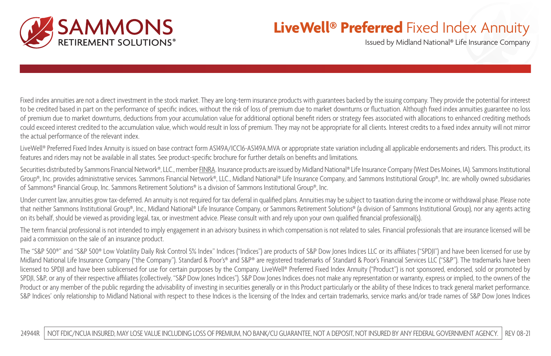

## **LiveWell® Preferred** Fixed Index Annuity

Issued by Midland National® Life Insurance Company

Fixed index annuities are not a direct investment in the stock market. They are long-term insurance products with guarantees backed by the issuing company. They provide the potential for interest to be credited based in part on the performance of specific indices, without the risk of loss of premium due to market downturns or fluctuation. Although fixed index annuities guarantee no loss of premium due to market downturns, deductions from your accumulation value for additional optional benefit riders or strategy fees associated with allocations to enhanced crediting methods could exceed interest credited to the accumulation value, which would result in loss of premium. They may not be appropriate for all clients. Interest credits to a fixed index annuity will not mirror the actual performance of the relevant index.

LiveWell® Preferred Fixed Index Annuity is issued on base contract form AS149A/ICC16-AS149A.MVA or appropriate state variation including all applicable endorsements and riders. This product, its features and riders may not be available in all states. See product-specific brochure for further details on benefits and limitations.

Securities distributed by Sammons Financial Network®, LLC., member [FINRA](http://FINRA.org). Insurance products are issued by Midland National® Life Insurance Company (West Des Moines, IA). Sammons Institutional Group®, Inc. provides administrative services. Sammons Financial Network®, LLC., Midland National® Life Insurance Company, and Sammons Institutional Group®, Inc. are wholly owned subsidiaries of Sammons® Financial Group, Inc. Sammons Retirement Solutions® is a division of Sammons Institutional Group®, Inc.

Under current law, annuities grow tax-deferred. An annuity is not required for tax deferral in qualified plans. Annuities may be subject to taxation during the income or withdrawal phase. Please note that neither Sammons Institutional Group®, Inc., Midland National® Life Insurance Company, or Sammons Retirement Solutions® (a division of Sammons Institutional Group), nor any agents acting on its behalf, should be viewed as providing legal, tax, or investment advice. Please consult with and rely upon your own qualified financial professional(s).

The term financial professional is not intended to imply engagement in an advisory business in which compensation is not related to sales. Financial professionals that are insurance licensed will be paid a commission on the sale of an insurance product.

The "S&P 500®" and "S&P 500® Low Volatility Daily Risk Control 5% Index" Indices ("Indices") are products of S&P Dow Jones Indices LLC or its affiliates ("SPDJI") and have been licensed for use by Midland National Life Insurance Company ("the Company"). Standard & Poor's® and S&P® are registered trademarks of Standard & Poor's Financial Services LLC ("S&P"). The trademarks have been licensed to SPDJI and have been sublicensed for use for certain purposes by the Company. LiveWell® Preferred Fixed Index Annuity ("Product") is not sponsored, endorsed, sold or promoted by SPDJI, S&P, or any of their respective affiliates (collectively, "S&P Dow Jones Indices"). S&P Dow Jones Indices does not make any representation or warranty, express or implied, to the owners of the Product or any member of the public regarding the advisability of investing in securities generally or in this Product particularly or the ability of these Indices to track general market performance. S&P Indices' only relationship to Midland National with respect to these Indices is the licensing of the Index and certain trademarks, service marks and/or trade names of S&P Dow Jones Indices

24944R | NOT FDIC/NCUA INSURED, MAY LOSE VALUE INCLUDING LOSS OF PREMIUM, NO BANK/CU GUARANTEE, NOT A DEPOSIT, NOT INSURED BY ANY FEDERAL GOVERNMENT AGENCY. | REV 08-21